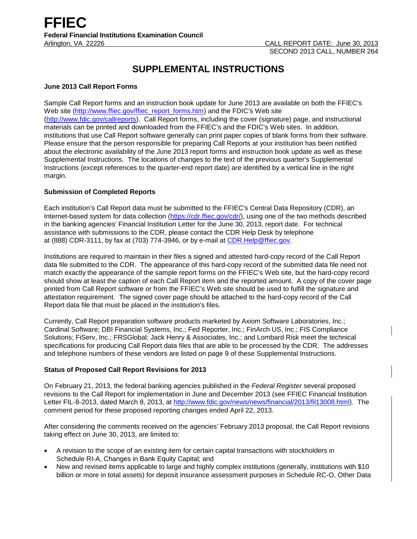# **SUPPLEMENTAL INSTRUCTIONS**

# **June 2013 Call Report Forms**

Sample Call Report forms and an instruction book update for June 2013 are available on both the FFIEC's Web site [\(http://www.ffiec.gov/ffiec\\_report\\_forms.htm\)](http://www.ffiec.gov/ffiec_report_forms.htm) and the FDIC's Web site [\(http://www.fdic.gov/callreports\)](http://www.fdic.gov/callreports). Call Report forms, including the cover (signature) page, and instructional materials can be printed and downloaded from the FFIEC's and the FDIC's Web sites. In addition, institutions that use Call Report software generally can print paper copies of blank forms from their software. Please ensure that the person responsible for preparing Call Reports at your institution has been notified about the electronic availability of the June 2013 report forms and instruction book update as well as these Supplemental Instructions. The locations of changes to the text of the previous quarter's Supplemental Instructions (except references to the quarter-end report date) are identified by a vertical line in the right margin.

# **Submission of Completed Reports**

Each institution's Call Report data must be submitted to the FFIEC's Central Data Repository (CDR), an Internet-based system for data collection [\(https://cdr.ffiec.gov/cdr/\)](https://cdr.ffiec.gov/cdr/), using one of the two methods described in the banking agencies' Financial Institution Letter for the June 30, 2013, report date. For technical assistance with submissions to the CDR, please contact the CDR Help Desk by telephone at (888) CDR-3111, by fax at (703) 774-3946, or by e-mail at CDR.Help@ffiec.gov.

Institutions are required to maintain in their files a signed and attested hard-copy record of the Call Report data file submitted to the CDR. The appearance of this hard-copy record of the submitted data file need not match exactly the appearance of the sample report forms on the FFIEC's Web site, but the hard-copy record should show at least the caption of each Call Report item and the reported amount. A copy of the cover page printed from Call Report software or from the FFIEC's Web site should be used to fulfill the signature and attestation requirement. The signed cover page should be attached to the hard-copy record of the Call Report data file that must be placed in the institution's files.

Currently, Call Report preparation software products marketed by Axiom Software Laboratories, Inc.; Cardinal Software; DBI Financial Systems, Inc.; Fed Reporter, Inc.; FinArch US, Inc.; FIS Compliance Solutions; FiServ, Inc.; FRSGlobal; Jack Henry & Associates, Inc.; and Lombard Risk meet the technical specifications for producing Call Report data files that are able to be processed by the CDR. The addresses and telephone numbers of these vendors are listed on page 9 of these Supplemental Instructions.

# **Status of Proposed Call Report Revisions for 2013**

On February 21, 2013, the federal banking agencies published in the *Federal Register* several proposed revisions to the Call Report for implementation in June and December 2013 (see FFIEC Financial Institution Letter FIL-8-2013, dated March 8, 2013, at [http://www.fdic.gov/news/news/financial/2013/fil13008.html\)](http://www.fdic.gov/news/news/financial/2013/fil13008.html). The comment period for these proposed reporting changes ended April 22, 2013.

After considering the comments received on the agencies' February 2013 proposal, the Call Report revisions taking effect on June 30, 2013, are limited to:

- A revision to the scope of an existing item for certain capital transactions with stockholders in Schedule RI-A, Changes in Bank Equity Capital; and
- New and revised items applicable to large and highly complex institutions (generally, institutions with \$10 billion or more in total assets) for deposit insurance assessment purposes in Schedule RC-O, Other Data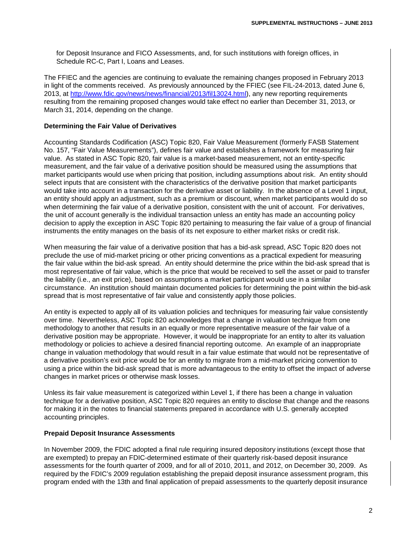for Deposit Insurance and FICO Assessments, and, for such institutions with foreign offices, in Schedule RC-C, Part I, Loans and Leases.

The FFIEC and the agencies are continuing to evaluate the remaining changes proposed in February 2013 in light of the comments received. As previously announced by the FFIEC (see FIL-24-2013, dated June 6, 2013, at [http://www.fdic.gov/news/news/financial/2013/fil13024.html\)](http://www.fdic.gov/news/news/financial/2013/fil13024.html), any new reporting requirements resulting from the remaining proposed changes would take effect no earlier than December 31, 2013, or March 31, 2014, depending on the change.

## **Determining the Fair Value of Derivatives**

Accounting Standards Codification (ASC) Topic 820, Fair Value Measurement (formerly FASB Statement No. 157, "Fair Value Measurements"), defines fair value and establishes a framework for measuring fair value. As stated in ASC Topic 820, fair value is a market-based measurement, not an entity-specific measurement, and the fair value of a derivative position should be measured using the assumptions that market participants would use when pricing that position, including assumptions about risk. An entity should select inputs that are consistent with the characteristics of the derivative position that market participants would take into account in a transaction for the derivative asset or liability. In the absence of a Level 1 input, an entity should apply an adjustment, such as a premium or discount, when market participants would do so when determining the fair value of a derivative position, consistent with the unit of account. For derivatives, the unit of account generally is the individual transaction unless an entity has made an accounting policy decision to apply the exception in ASC Topic 820 pertaining to measuring the fair value of a group of financial instruments the entity manages on the basis of its net exposure to either market risks or credit risk.

When measuring the fair value of a derivative position that has a bid-ask spread, ASC Topic 820 does not preclude the use of mid-market pricing or other pricing conventions as a practical expedient for measuring the fair value within the bid-ask spread. An entity should determine the price within the bid-ask spread that is most representative of fair value, which is the price that would be received to sell the asset or paid to transfer the liability (i.e., an exit price), based on assumptions a market participant would use in a similar circumstance. An institution should maintain documented policies for determining the point within the bid-ask spread that is most representative of fair value and consistently apply those policies.

An entity is expected to apply all of its valuation policies and techniques for measuring fair value consistently over time. Nevertheless, ASC Topic 820 acknowledges that a change in valuation technique from one methodology to another that results in an equally or more representative measure of the fair value of a derivative position may be appropriate. However, it would be inappropriate for an entity to alter its valuation methodology or policies to achieve a desired financial reporting outcome. An example of an inappropriate change in valuation methodology that would result in a fair value estimate that would not be representative of a derivative position's exit price would be for an entity to migrate from a mid-market pricing convention to using a price within the bid-ask spread that is more advantageous to the entity to offset the impact of adverse changes in market prices or otherwise mask losses.

Unless its fair value measurement is categorized within Level 1, if there has been a change in valuation technique for a derivative position, ASC Topic 820 requires an entity to disclose that change and the reasons for making it in the notes to financial statements prepared in accordance with U.S. generally accepted accounting principles.

#### **Prepaid Deposit Insurance Assessments**

In November 2009, the FDIC adopted a final rule requiring insured depository institutions (except those that are exempted) to prepay an FDIC-determined estimate of their quarterly risk-based deposit insurance assessments for the fourth quarter of 2009, and for all of 2010, 2011, and 2012, on December 30, 2009. As required by the FDIC's 2009 regulation establishing the prepaid deposit insurance assessment program, this program ended with the 13th and final application of prepaid assessments to the quarterly deposit insurance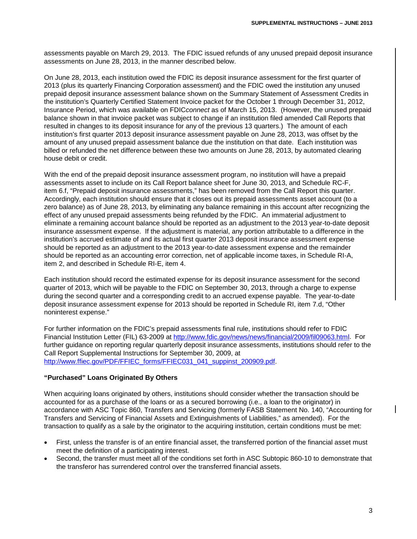assessments payable on March 29, 2013. The FDIC issued refunds of any unused prepaid deposit insurance assessments on June 28, 2013, in the manner described below.

On June 28, 2013, each institution owed the FDIC its deposit insurance assessment for the first quarter of 2013 (plus its quarterly Financing Corporation assessment) and the FDIC owed the institution any unused prepaid deposit insurance assessment balance shown on the Summary Statement of Assessment Credits in the institution's Quarterly Certified Statement Invoice packet for the October 1 through December 31, 2012, Insurance Period, which was available on FDIC*connect* as of March 15, 2013. (However, the unused prepaid balance shown in that invoice packet was subject to change if an institution filed amended Call Reports that resulted in changes to its deposit insurance for any of the previous 13 quarters.) The amount of each institution's first quarter 2013 deposit insurance assessment payable on June 28, 2013, was offset by the amount of any unused prepaid assessment balance due the institution on that date. Each institution was billed or refunded the net difference between these two amounts on June 28, 2013, by automated clearing house debit or credit.

With the end of the prepaid deposit insurance assessment program, no institution will have a prepaid assessments asset to include on its Call Report balance sheet for June 30, 2013, and Schedule RC-F, item 6.f, "Prepaid deposit insurance assessments," has been removed from the Call Report this quarter. Accordingly, each institution should ensure that it closes out its prepaid assessments asset account (to a zero balance) as of June 28, 2013, by eliminating any balance remaining in this account after recognizing the effect of any unused prepaid assessments being refunded by the FDIC. An immaterial adjustment to eliminate a remaining account balance should be reported as an adjustment to the 2013 year-to-date deposit insurance assessment expense. If the adjustment is material, any portion attributable to a difference in the institution's accrued estimate of and its actual first quarter 2013 deposit insurance assessment expense should be reported as an adjustment to the 2013 year-to-date assessment expense and the remainder should be reported as an accounting error correction, net of applicable income taxes, in Schedule RI-A, item 2, and described in Schedule RI-E, item 4.

Each institution should record the estimated expense for its deposit insurance assessment for the second quarter of 2013, which will be payable to the FDIC on September 30, 2013, through a charge to expense during the second quarter and a corresponding credit to an accrued expense payable. The year-to-date deposit insurance assessment expense for 2013 should be reported in Schedule RI, item 7.d, "Other noninterest expense."

For further information on the FDIC's prepaid assessments final rule, institutions should refer to FDIC Financial Institution Letter (FIL) 63-2009 at [http://www.fdic.gov/news/news/financial/2009/fil09063.html.](http://www.fdic.gov/news/news/financial/2009/fil09063.html) For further guidance on reporting regular quarterly deposit insurance assessments, institutions should refer to the Call Report Supplemental Instructions for September 30, 2009, at [http://www.ffiec.gov/PDF/FFIEC\\_forms/FFIEC031\\_041\\_suppinst\\_200909.pdf.](http://www.ffiec.gov/PDF/FFIEC_forms/FFIEC031_041_suppinst_200909.pdf)

## **"Purchased" Loans Originated By Others**

When acquiring loans originated by others, institutions should consider whether the transaction should be accounted for as a purchase of the loans or as a secured borrowing (i.e., a loan to the originator) in accordance with ASC Topic 860, Transfers and Servicing (formerly FASB Statement No. 140, "Accounting for Transfers and Servicing of Financial Assets and Extinguishments of Liabilities," as amended). For the transaction to qualify as a sale by the originator to the acquiring institution, certain conditions must be met:

- First, unless the transfer is of an entire financial asset, the transferred portion of the financial asset must meet the definition of a participating interest.
- Second, the transfer must meet all of the conditions set forth in ASC Subtopic 860-10 to demonstrate that the transferor has surrendered control over the transferred financial assets.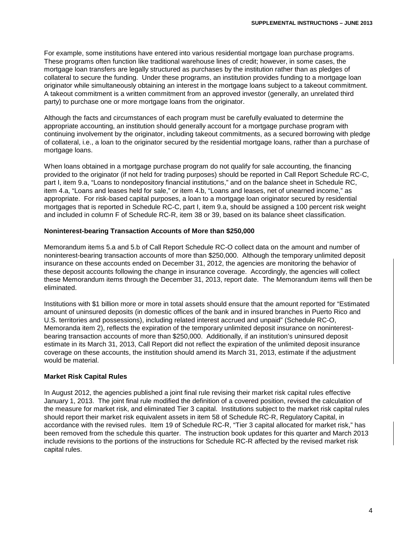For example, some institutions have entered into various residential mortgage loan purchase programs. These programs often function like traditional warehouse lines of credit; however, in some cases, the mortgage loan transfers are legally structured as purchases by the institution rather than as pledges of collateral to secure the funding. Under these programs, an institution provides funding to a mortgage loan originator while simultaneously obtaining an interest in the mortgage loans subject to a takeout commitment. A takeout commitment is a written commitment from an approved investor (generally, an unrelated third party) to purchase one or more mortgage loans from the originator.

Although the facts and circumstances of each program must be carefully evaluated to determine the appropriate accounting, an institution should generally account for a mortgage purchase program with continuing involvement by the originator, including takeout commitments, as a secured borrowing with pledge of collateral, i.e., a loan to the originator secured by the residential mortgage loans, rather than a purchase of mortgage loans.

When loans obtained in a mortgage purchase program do not qualify for sale accounting, the financing provided to the originator (if not held for trading purposes) should be reported in Call Report Schedule RC-C, part I, item 9.a, "Loans to nondepository financial institutions," and on the balance sheet in Schedule RC, item 4.a, "Loans and leases held for sale," or item 4.b, "Loans and leases, net of unearned income," as appropriate. For risk-based capital purposes, a loan to a mortgage loan originator secured by residential mortgages that is reported in Schedule RC-C, part I, item 9.a, should be assigned a 100 percent risk weight and included in column F of Schedule RC-R, item 38 or 39, based on its balance sheet classification.

## **Noninterest-bearing Transaction Accounts of More than \$250,000**

Memorandum items 5.a and 5.b of Call Report Schedule RC-O collect data on the amount and number of noninterest-bearing transaction accounts of more than \$250,000. Although the temporary unlimited deposit insurance on these accounts ended on December 31, 2012, the agencies are monitoring the behavior of these deposit accounts following the change in insurance coverage. Accordingly, the agencies will collect these Memorandum items through the December 31, 2013, report date. The Memorandum items will then be eliminated.

Institutions with \$1 billion more or more in total assets should ensure that the amount reported for "Estimated amount of uninsured deposits (in domestic offices of the bank and in insured branches in Puerto Rico and U.S. territories and possessions), including related interest accrued and unpaid" (Schedule RC-O, Memoranda item 2), reflects the expiration of the temporary unlimited deposit insurance on noninterestbearing transaction accounts of more than \$250,000. Additionally, if an institution's uninsured deposit estimate in its March 31, 2013, Call Report did not reflect the expiration of the unlimited deposit insurance coverage on these accounts, the institution should amend its March 31, 2013, estimate if the adjustment would be material.

## **Market Risk Capital Rules**

In August 2012, the agencies published a joint final rule revising their market risk capital rules effective January 1, 2013. The joint final rule modified the definition of a covered position, revised the calculation of the measure for market risk, and eliminated Tier 3 capital. Institutions subject to the market risk capital rules should report their market risk equivalent assets in item 58 of Schedule RC-R, Regulatory Capital, in accordance with the revised rules. Item 19 of Schedule RC-R, "Tier 3 capital allocated for market risk," has been removed from the schedule this quarter. The instruction book updates for this quarter and March 2013 include revisions to the portions of the instructions for Schedule RC-R affected by the revised market risk capital rules.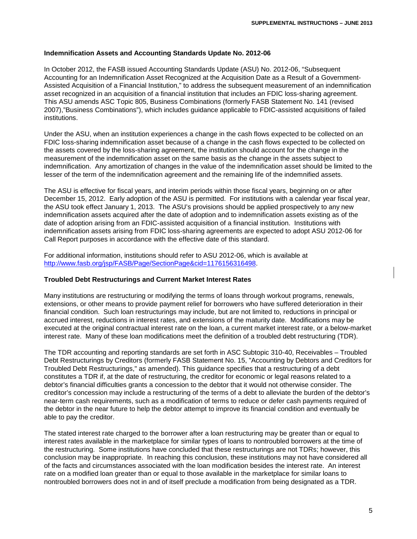#### **Indemnification Assets and Accounting Standards Update No. 2012-06**

In October 2012, the FASB issued Accounting Standards Update (ASU) No. 2012-06, "Subsequent Accounting for an Indemnification Asset Recognized at the Acquisition Date as a Result of a Government-Assisted Acquisition of a Financial Institution," to address the subsequent measurement of an indemnification asset recognized in an acquisition of a financial institution that includes an FDIC loss-sharing agreement. This ASU amends ASC Topic 805, Business Combinations (formerly FASB Statement No. 141 (revised 2007),"Business Combinations"), which includes guidance applicable to FDIC-assisted acquisitions of failed institutions.

Under the ASU, when an institution experiences a change in the cash flows expected to be collected on an FDIC loss-sharing indemnification asset because of a change in the cash flows expected to be collected on the assets covered by the loss-sharing agreement, the institution should account for the change in the measurement of the indemnification asset on the same basis as the change in the assets subject to indemnification. Any amortization of changes in the value of the indemnification asset should be limited to the lesser of the term of the indemnification agreement and the remaining life of the indemnified assets.

The ASU is effective for fiscal years, and interim periods within those fiscal years, beginning on or after December 15, 2012. Early adoption of the ASU is permitted. For institutions with a calendar year fiscal year, the ASU took effect January 1, 2013. The ASU's provisions should be applied prospectively to any new indemnification assets acquired after the date of adoption and to indemnification assets existing as of the date of adoption arising from an FDIC-assisted acquisition of a financial institution. Institutions with indemnification assets arising from FDIC loss-sharing agreements are expected to adopt ASU 2012-06 for Call Report purposes in accordance with the effective date of this standard.

For additional information, institutions should refer to ASU 2012-06, which is available at [http://www.fasb.org/jsp/FASB/Page/SectionPage&cid=1176156316498.](http://www.fasb.org/jsp/FASB/Page/SectionPage&cid=1176156316498)

#### **Troubled Debt Restructurings and Current Market Interest Rates**

Many institutions are restructuring or modifying the terms of loans through workout programs, renewals, extensions, or other means to provide payment relief for borrowers who have suffered deterioration in their financial condition. Such loan restructurings may include, but are not limited to, reductions in principal or accrued interest, reductions in interest rates, and extensions of the maturity date. Modifications may be executed at the original contractual interest rate on the loan, a current market interest rate, or a below-market interest rate. Many of these loan modifications meet the definition of a troubled debt restructuring (TDR).

The TDR accounting and reporting standards are set forth in ASC Subtopic 310-40, Receivables – Troubled Debt Restructurings by Creditors (formerly FASB Statement No. 15, "Accounting by Debtors and Creditors for Troubled Debt Restructurings," as amended). This guidance specifies that a restructuring of a debt constitutes a TDR if, at the date of restructuring, the creditor for economic or legal reasons related to a debtor's financial difficulties grants a concession to the debtor that it would not otherwise consider. The creditor's concession may include a restructuring of the terms of a debt to alleviate the burden of the debtor's near-term cash requirements, such as a modification of terms to reduce or defer cash payments required of the debtor in the near future to help the debtor attempt to improve its financial condition and eventually be able to pay the creditor.

The stated interest rate charged to the borrower after a loan restructuring may be greater than or equal to interest rates available in the marketplace for similar types of loans to nontroubled borrowers at the time of the restructuring. Some institutions have concluded that these restructurings are not TDRs; however, this conclusion may be inappropriate. In reaching this conclusion, these institutions may not have considered all of the facts and circumstances associated with the loan modification besides the interest rate. An interest rate on a modified loan greater than or equal to those available in the marketplace for similar loans to nontroubled borrowers does not in and of itself preclude a modification from being designated as a TDR.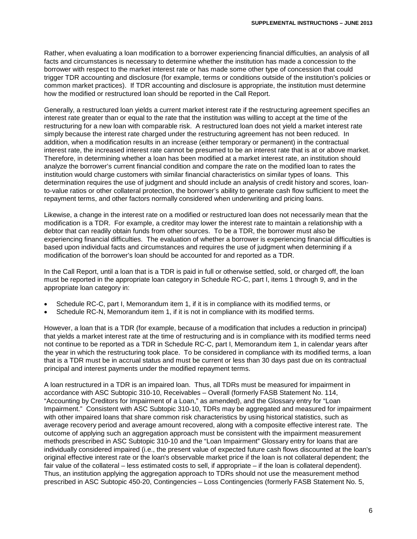Rather, when evaluating a loan modification to a borrower experiencing financial difficulties, an analysis of all facts and circumstances is necessary to determine whether the institution has made a concession to the borrower with respect to the market interest rate or has made some other type of concession that could trigger TDR accounting and disclosure (for example, terms or conditions outside of the institution's policies or common market practices). If TDR accounting and disclosure is appropriate, the institution must determine how the modified or restructured loan should be reported in the Call Report.

Generally, a restructured loan yields a current market interest rate if the restructuring agreement specifies an interest rate greater than or equal to the rate that the institution was willing to accept at the time of the restructuring for a new loan with comparable risk. A restructured loan does not yield a market interest rate simply because the interest rate charged under the restructuring agreement has not been reduced. In addition, when a modification results in an increase (either temporary or permanent) in the contractual interest rate, the increased interest rate cannot be presumed to be an interest rate that is at or above market. Therefore, in determining whether a loan has been modified at a market interest rate, an institution should analyze the borrower's current financial condition and compare the rate on the modified loan to rates the institution would charge customers with similar financial characteristics on similar types of loans. This determination requires the use of judgment and should include an analysis of credit history and scores, loanto-value ratios or other collateral protection, the borrower's ability to generate cash flow sufficient to meet the repayment terms, and other factors normally considered when underwriting and pricing loans.

Likewise, a change in the interest rate on a modified or restructured loan does not necessarily mean that the modification is a TDR. For example, a creditor may lower the interest rate to maintain a relationship with a debtor that can readily obtain funds from other sources. To be a TDR, the borrower must also be experiencing financial difficulties. The evaluation of whether a borrower is experiencing financial difficulties is based upon individual facts and circumstances and requires the use of judgment when determining if a modification of the borrower's loan should be accounted for and reported as a TDR.

In the Call Report, until a loan that is a TDR is paid in full or otherwise settled, sold, or charged off, the loan must be reported in the appropriate loan category in Schedule RC-C, part I, items 1 through 9, and in the appropriate loan category in:

- Schedule RC-C, part I, Memorandum item 1, if it is in compliance with its modified terms, or
- Schedule RC-N, Memorandum item 1, if it is not in compliance with its modified terms.

However, a loan that is a TDR (for example, because of a modification that includes a reduction in principal) that yields a market interest rate at the time of restructuring and is in compliance with its modified terms need not continue to be reported as a TDR in Schedule RC-C, part I, Memorandum item 1, in calendar years after the year in which the restructuring took place. To be considered in compliance with its modified terms, a loan that is a TDR must be in accrual status and must be current or less than 30 days past due on its contractual principal and interest payments under the modified repayment terms.

A loan restructured in a TDR is an impaired loan. Thus, all TDRs must be measured for impairment in accordance with ASC Subtopic 310-10, Receivables – Overall (formerly FASB Statement No. 114, "Accounting by Creditors for Impairment of a Loan," as amended), and the Glossary entry for "Loan Impairment." Consistent with ASC Subtopic 310-10, TDRs may be aggregated and measured for impairment with other impaired loans that share common risk characteristics by using historical statistics, such as average recovery period and average amount recovered, along with a composite effective interest rate. The outcome of applying such an aggregation approach must be consistent with the impairment measurement methods prescribed in ASC Subtopic 310-10 and the "Loan Impairment" Glossary entry for loans that are individually considered impaired (i.e., the present value of expected future cash flows discounted at the loan's original effective interest rate or the loan's observable market price if the loan is not collateral dependent; the fair value of the collateral – less estimated costs to sell, if appropriate – if the loan is collateral dependent). Thus, an institution applying the aggregation approach to TDRs should not use the measurement method prescribed in ASC Subtopic 450-20, Contingencies – Loss Contingencies (formerly FASB Statement No. 5,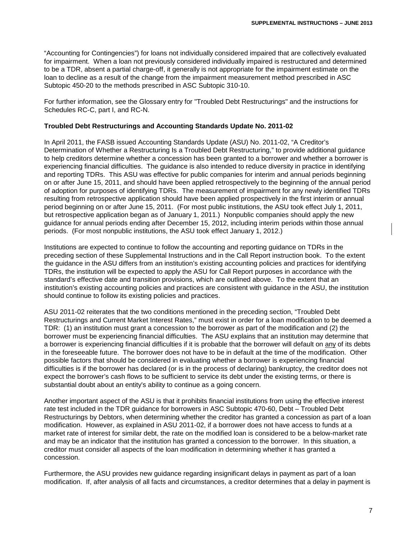"Accounting for Contingencies") for loans not individually considered impaired that are collectively evaluated for impairment. When a loan not previously considered individually impaired is restructured and determined to be a TDR, absent a partial charge-off, it generally is not appropriate for the impairment estimate on the loan to decline as a result of the change from the impairment measurement method prescribed in ASC Subtopic 450-20 to the methods prescribed in ASC Subtopic 310-10.

For further information, see the Glossary entry for "Troubled Debt Restructurings" and the instructions for Schedules RC-C, part I, and RC-N.

## **Troubled Debt Restructurings and Accounting Standards Update No. 2011-02**

In April 2011, the FASB issued Accounting Standards Update (ASU) No. 2011-02, "A Creditor's Determination of Whether a Restructuring Is a Troubled Debt Restructuring," to provide additional guidance to help creditors determine whether a concession has been granted to a borrower and whether a borrower is experiencing financial difficulties. The guidance is also intended to reduce diversity in practice in identifying and reporting TDRs. This ASU was effective for public companies for interim and annual periods beginning on or after June 15, 2011, and should have been applied retrospectively to the beginning of the annual period of adoption for purposes of identifying TDRs. The measurement of impairment for any newly identified TDRs resulting from retrospective application should have been applied prospectively in the first interim or annual period beginning on or after June 15, 2011. (For most public institutions, the ASU took effect July 1, 2011, but retrospective application began as of January 1, 2011.) Nonpublic companies should apply the new guidance for annual periods ending after December 15, 2012, including interim periods within those annual periods. (For most nonpublic institutions, the ASU took effect January 1, 2012.)

Institutions are expected to continue to follow the accounting and reporting guidance on TDRs in the preceding section of these Supplemental Instructions and in the Call Report instruction book. To the extent the guidance in the ASU differs from an institution's existing accounting policies and practices for identifying TDRs, the institution will be expected to apply the ASU for Call Report purposes in accordance with the standard's effective date and transition provisions, which are outlined above. To the extent that an institution's existing accounting policies and practices are consistent with guidance in the ASU, the institution should continue to follow its existing policies and practices.

ASU 2011-02 reiterates that the two conditions mentioned in the preceding section, "Troubled Debt Restructurings and Current Market Interest Rates," must exist in order for a loan modification to be deemed a TDR: (1) an institution must grant a concession to the borrower as part of the modification and (2) the borrower must be experiencing financial difficulties. The ASU explains that an institution may determine that a borrower is experiencing financial difficulties if it is probable that the borrower will default on any of its debts in the foreseeable future. The borrower does not have to be in default at the time of the modification. Other possible factors that should be considered in evaluating whether a borrower is experiencing financial difficulties is if the borrower has declared (or is in the process of declaring) bankruptcy, the creditor does not expect the borrower's cash flows to be sufficient to service its debt under the existing terms, or there is substantial doubt about an entity's ability to continue as a going concern.

Another important aspect of the ASU is that it prohibits financial institutions from using the effective interest rate test included in the TDR guidance for borrowers in ASC Subtopic 470-60, Debt – Troubled Debt Restructurings by Debtors, when determining whether the creditor has granted a concession as part of a loan modification. However, as explained in ASU 2011-02, if a borrower does not have access to funds at a market rate of interest for similar debt, the rate on the modified loan is considered to be a below-market rate and may be an indicator that the institution has granted a concession to the borrower. In this situation, a creditor must consider all aspects of the loan modification in determining whether it has granted a concession.

Furthermore, the ASU provides new guidance regarding insignificant delays in payment as part of a loan modification. If, after analysis of all facts and circumstances, a creditor determines that a delay in payment is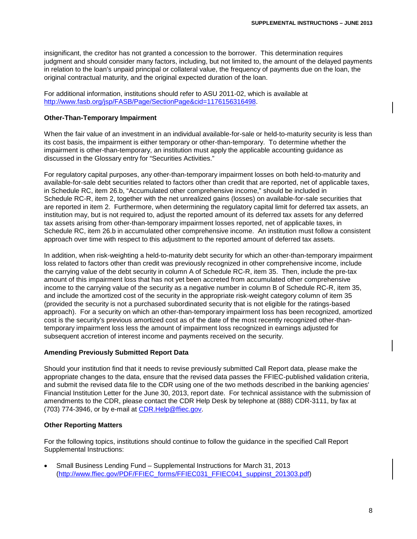insignificant, the creditor has not granted a concession to the borrower. This determination requires judgment and should consider many factors, including, but not limited to, the amount of the delayed payments in relation to the loan's unpaid principal or collateral value, the frequency of payments due on the loan, the original contractual maturity, and the original expected duration of the loan.

For additional information, institutions should refer to ASU 2011-02, which is available at [http://www.fasb.org/jsp/FASB/Page/SectionPage&cid=1176156316498.](http://www.fasb.org/jsp/FASB/Page/SectionPage&cid=1176156316498)

## **Other-Than-Temporary Impairment**

When the fair value of an investment in an individual available-for-sale or held-to-maturity security is less than its cost basis, the impairment is either temporary or other-than-temporary. To determine whether the impairment is other-than-temporary, an institution must apply the applicable accounting guidance as discussed in the Glossary entry for "Securities Activities."

For regulatory capital purposes, any other-than-temporary impairment losses on both held-to-maturity and available-for-sale debt securities related to factors other than credit that are reported, net of applicable taxes, in Schedule RC, item 26.b, "Accumulated other comprehensive income," should be included in Schedule RC-R, item 2, together with the net unrealized gains (losses) on available-for-sale securities that are reported in item 2. Furthermore, when determining the regulatory capital limit for deferred tax assets, an institution may, but is not required to, adjust the reported amount of its deferred tax assets for any deferred tax assets arising from other-than-temporary impairment losses reported, net of applicable taxes, in Schedule RC, item 26.b in accumulated other comprehensive income. An institution must follow a consistent approach over time with respect to this adjustment to the reported amount of deferred tax assets.

In addition, when risk-weighting a held-to-maturity debt security for which an other-than-temporary impairment loss related to factors other than credit was previously recognized in other comprehensive income, include the carrying value of the debt security in column A of Schedule RC-R, item 35. Then, include the pre-tax amount of this impairment loss that has not yet been accreted from accumulated other comprehensive income to the carrying value of the security as a negative number in column B of Schedule RC-R, item 35, and include the amortized cost of the security in the appropriate risk-weight category column of item 35 (provided the security is not a purchased subordinated security that is not eligible for the ratings-based approach). For a security on which an other-than-temporary impairment loss has been recognized, amortized cost is the security's previous amortized cost as of the date of the most recently recognized other-thantemporary impairment loss less the amount of impairment loss recognized in earnings adjusted for subsequent accretion of interest income and payments received on the security.

## **Amending Previously Submitted Report Data**

Should your institution find that it needs to revise previously submitted Call Report data, please make the appropriate changes to the data, ensure that the revised data passes the FFIEC-published validation criteria, and submit the revised data file to the CDR using one of the two methods described in the banking agencies' Financial Institution Letter for the June 30, 2013, report date. For technical assistance with the submission of amendments to the CDR, please contact the CDR Help Desk by telephone at (888) CDR-3111, by fax at (703) 774-3946, or by e-mail at CDR.Help@ffiec.gov.

## **Other Reporting Matters**

For the following topics, institutions should continue to follow the guidance in the specified Call Report Supplemental Instructions:

• Small Business Lending Fund – Supplemental Instructions for March 31, 2013 [\(http://www.ffiec.gov/PDF/FFIEC\\_forms/FFIEC031\\_FFIEC041\\_suppinst\\_201303.pdf\)](http://www.ffiec.gov/PDF/FFIEC_forms/FFIEC031_FFIEC041_suppinst_201303.pdf)